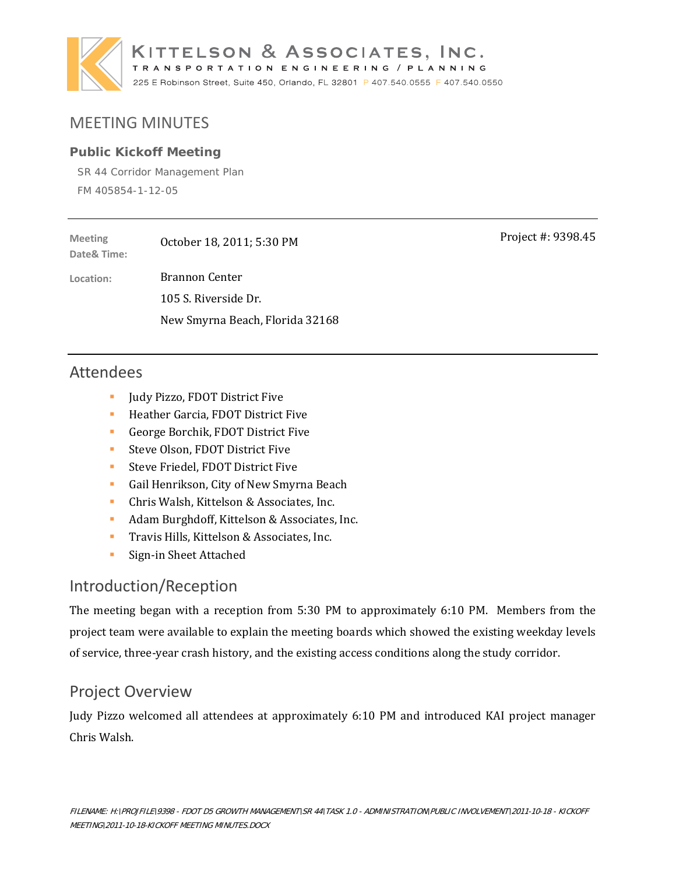

# MEETING MINUTES

#### **Public Kickoff Meeting**

SR 44 Corridor Management Plan FM 405854-1-12-05

| <b>Meeting</b><br>Date& Time: | October 18, 2011; 5:30 PM       |
|-------------------------------|---------------------------------|
| Location:                     | <b>Brannon Center</b>           |
|                               | 105 S. Riverside Dr.            |
|                               | New Smyrna Beach, Florida 32168 |

## Attendees

- **Judy Pizzo, FDOT District Five**
- **Heather Garcia, FDOT District Five**
- George Borchik, FDOT District Five
- **Steve Olson, FDOT District Five**
- **Steve Friedel, FDOT District Five**
- Gail Henrikson, City of New Smyrna Beach
- **Chris Walsh, Kittelson & Associates, Inc.**
- Adam Burghdoff, Kittelson & Associates, Inc.
- **Travis Hills, Kittelson & Associates, Inc.**
- **Sign-in Sheet Attached**

### Introduction/Reception

The meeting began with a reception from  $5:30$  PM to approximately  $6:10$  PM. Members from the project team were available to explain the meeting boards which showed the existing weekday levels of service, three-year crash history, and the existing access conditions along the study corridor.

## Project Overview

Judy Pizzo welcomed all attendees at approximately 6:10 PM and introduced KAI project manager Chris Walsh. 

Project #: 9398.45